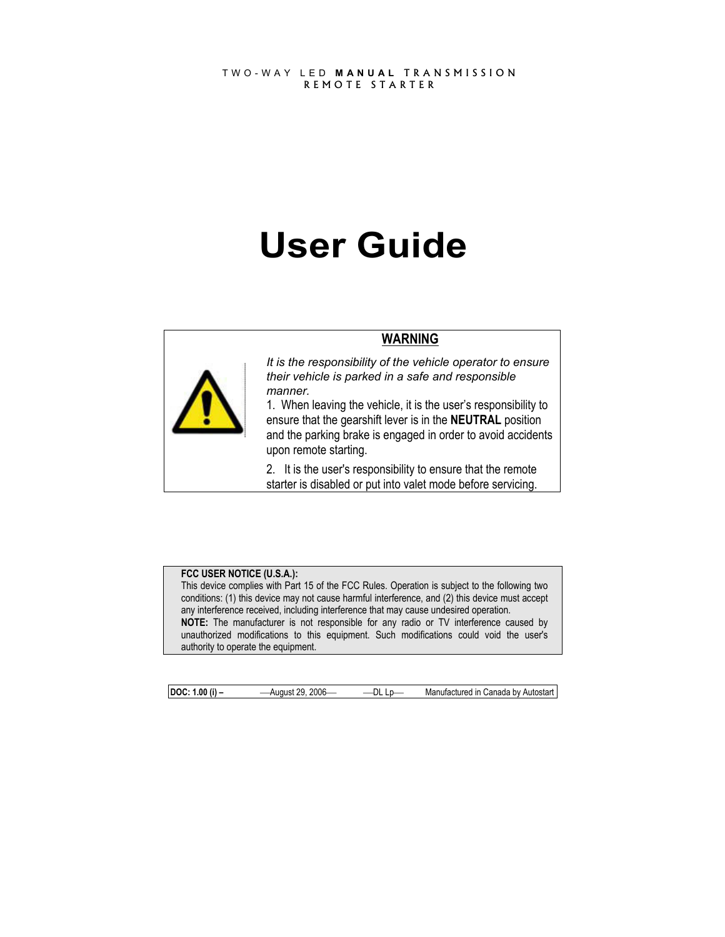### TWO-WAY LED **MANUAL** TRANSMISSION REMOTE STARTER

# **User Guide**

# **WARNING**



*It is the responsibility of the vehicle operator to ensure their vehicle is parked in a safe and responsible manner.* 

1. When leaving the vehicle, it is the user's responsibility to ensure that the gearshift lever is in the **NEUTRAL** position and the parking brake is engaged in order to avoid accidents upon remote starting.

2. It is the user's responsibility to ensure that the remote starter is disabled or put into valet mode before servicing.

### **FCC USER NOTICE (U.S.A.):**

This device complies with Part 15 of the FCC Rules. Operation is subject to the following two conditions: (1) this device may not cause harmful interference, and (2) this device must accept any interference received, including interference that may cause undesired operation. **NOTE:** The manufacturer is not responsible for any radio or TV interference caused by unauthorized modifications to this equipment. Such modifications could void the user's authority to operate the equipment.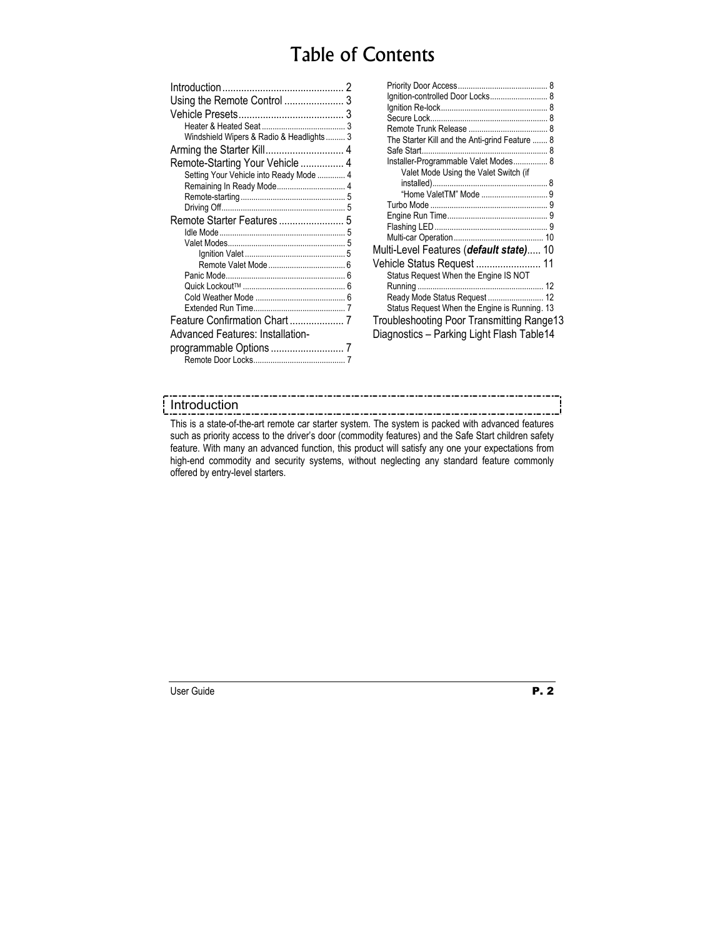# Table of Contents

| Windshield Wipers & Radio & Headlights 3 |  |
|------------------------------------------|--|
|                                          |  |
| Remote-Starting Your Vehicle  4          |  |
| Setting Your Vehicle into Ready Mode  4  |  |
| Remaining In Ready Mode 4                |  |
|                                          |  |
|                                          |  |
| Remote Starter Features 5                |  |
|                                          |  |
|                                          |  |
|                                          |  |
|                                          |  |
|                                          |  |
|                                          |  |
| Feature Confirmation Chart  7            |  |
|                                          |  |
| Advanced Features: Installation-         |  |
|                                          |  |
|                                          |  |

| Ignition-controlled Door Locks 8               |  |
|------------------------------------------------|--|
|                                                |  |
|                                                |  |
|                                                |  |
| The Starter Kill and the Anti-grind Feature  8 |  |
|                                                |  |
| Installer-Programmable Valet Modes 8           |  |
| Valet Mode Using the Valet Switch (if          |  |
|                                                |  |
|                                                |  |
|                                                |  |
|                                                |  |
|                                                |  |
|                                                |  |
| Multi-Level Features (default state) 10        |  |
| Vehicle Status Request  11                     |  |
| Status Request When the Engine IS NOT          |  |
|                                                |  |
|                                                |  |
| Status Request When the Engine is Running. 13  |  |
|                                                |  |
| Troubleshooting Poor Transmitting Range13      |  |
| Diagnostics - Parking Light Flash Table14      |  |
|                                                |  |

### Introduction

This is a state-of-the-art remote car starter system. The system is packed with advanced features such as priority access to the driver's door (commodity features) and the Safe Start children safety feature. With many an advanced function, this product will satisfy any one your expectations from high-end commodity and security systems, without neglecting any standard feature commonly offered by entry-level starters.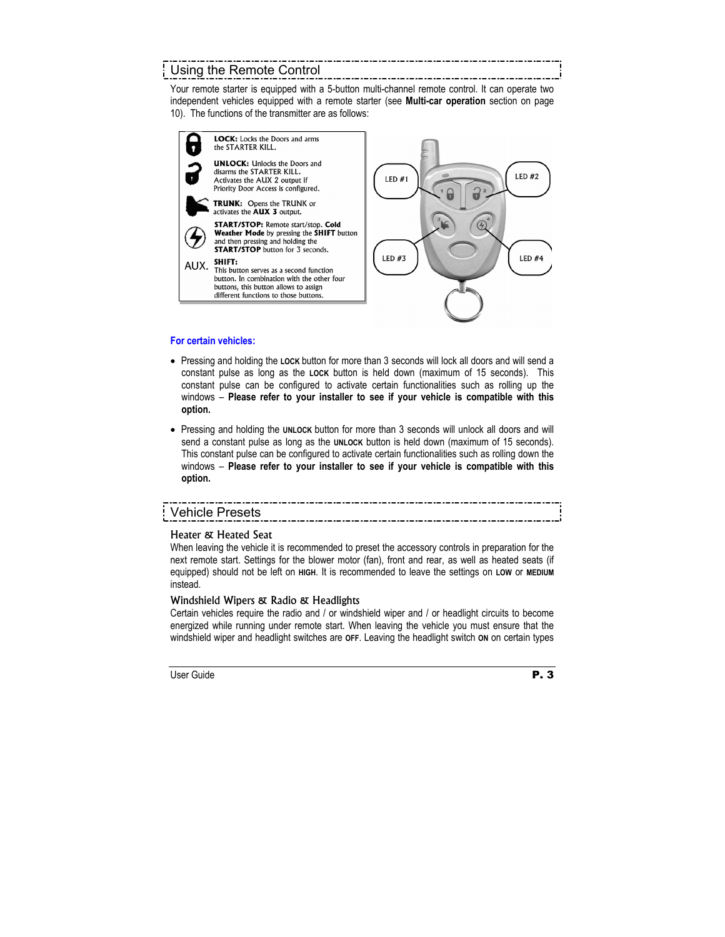# Using the Remote Control

Your remote starter is equipped with a 5-button multi-channel remote control. It can operate two independent vehicles equipped with a remote starter (see **Multi-car operation** section on page 10). The functions of the transmitter are as follows:



### **For certain vehicles:**

- Pressing and holding the **LOCK** button for more than 3 seconds will lock all doors and will send a constant pulse as long as the **LOCK** button is held down (maximum of 15 seconds). This constant pulse can be configured to activate certain functionalities such as rolling up the windows – **Please refer to your installer to see if your vehicle is compatible with this option.**
- Pressing and holding the **UNLOCK** button for more than 3 seconds will unlock all doors and will send a constant pulse as long as the **UNLOCK** button is held down (maximum of 15 seconds). This constant pulse can be configured to activate certain functionalities such as rolling down the windows – **Please refer to your installer to see if your vehicle is compatible with this option.**

# Vehicle Presets

### Heater & Heated Seat

When leaving the vehicle it is recommended to preset the accessory controls in preparation for the next remote start. Settings for the blower motor (fan), front and rear, as well as heated seats (if equipped) should not be left on **HIGH**. It is recommended to leave the settings on **LOW** or **MEDIUM** instead.

### Windshield Wipers & Radio & Headlights

Certain vehicles require the radio and / or windshield wiper and / or headlight circuits to become energized while running under remote start. When leaving the vehicle you must ensure that the windshield wiper and headlight switches are **OFF**. Leaving the headlight switch **ON** on certain types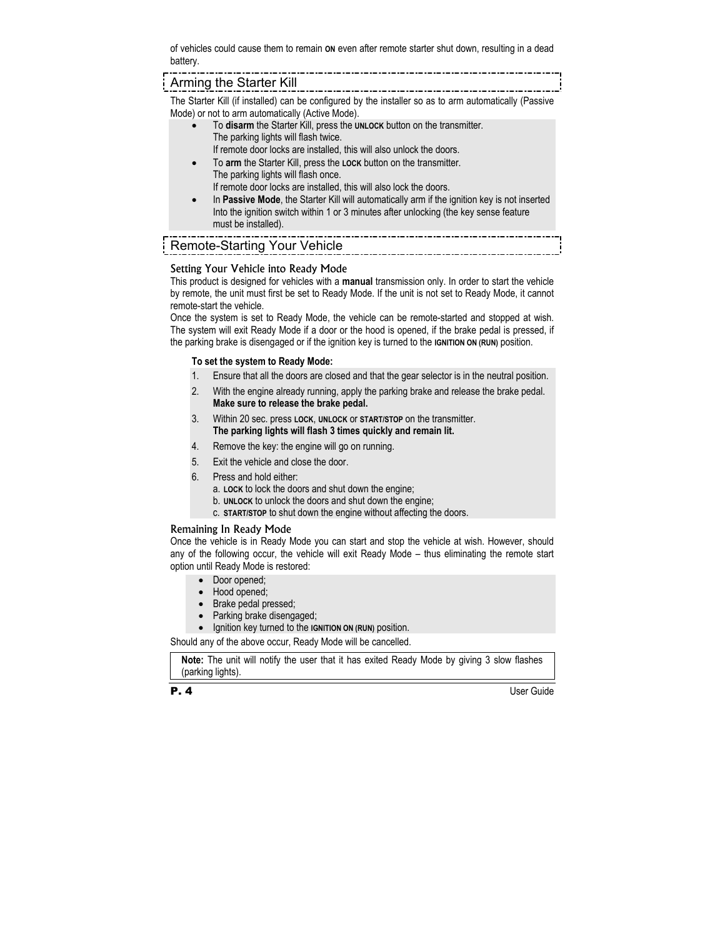of vehicles could cause them to remain **ON** even after remote starter shut down, resulting in a dead battery.

...............................

## Arming the Starter Kill

The Starter Kill (if installed) can be configured by the installer so as to arm automatically (Passive Mode) or not to arm automatically (Active Mode).

- To **disarm** the Starter Kill, press the **UNLOCK** button on the transmitter. The parking lights will flash twice. If remote door locks are installed, this will also unlock the doors.
- To **arm** the Starter Kill, press the **LOCK** button on the transmitter. The parking lights will flash once. If remote door locks are installed, this will also lock the doors.
- In **Passive Mode**, the Starter Kill will automatically arm if the ignition key is not inserted Into the ignition switch within 1 or 3 minutes after unlocking (the key sense feature must be installed).

# Remote-Starting Your Vehicle

### Setting Your Vehicle into Ready Mode

This product is designed for vehicles with a **manual** transmission only. In order to start the vehicle by remote, the unit must first be set to Ready Mode. If the unit is not set to Ready Mode, it cannot remote-start the vehicle.

Once the system is set to Ready Mode, the vehicle can be remote-started and stopped at wish. The system will exit Ready Mode if a door or the hood is opened, if the brake pedal is pressed, if the parking brake is disengaged or if the ignition key is turned to the **IGNITION ON (RUN)** position.

### **To set the system to Ready Mode:**

- 1. Ensure that all the doors are closed and that the gear selector is in the neutral position.
- 2. With the engine already running, apply the parking brake and release the brake pedal. **Make sure to release the brake pedal.**
- 3. Within 20 sec. press **LOCK**, **UNLOCK** or **START/STOP** on the transmitter. **The parking lights will flash 3 times quickly and remain lit.**
- 4. Remove the key: the engine will go on running.
- 5. Exit the vehicle and close the door.
- 6. Press and hold either:
	- a. **LOCK** to lock the doors and shut down the engine;
	- b. **UNLOCK** to unlock the doors and shut down the engine;
	- c. **START/STOP** to shut down the engine without affecting the doors.

### Remaining In Ready Mode

Once the vehicle is in Ready Mode you can start and stop the vehicle at wish. However, should any of the following occur, the vehicle will exit Ready Mode – thus eliminating the remote start option until Ready Mode is restored:

- Door opened;
- Hood opened;
- Brake pedal pressed;
- Parking brake disengaged;
- Ignition key turned to the **IGNITION ON (RUN)** position.

Should any of the above occur, Ready Mode will be cancelled.

**Note:** The unit will notify the user that it has exited Ready Mode by giving 3 slow flashes (parking lights).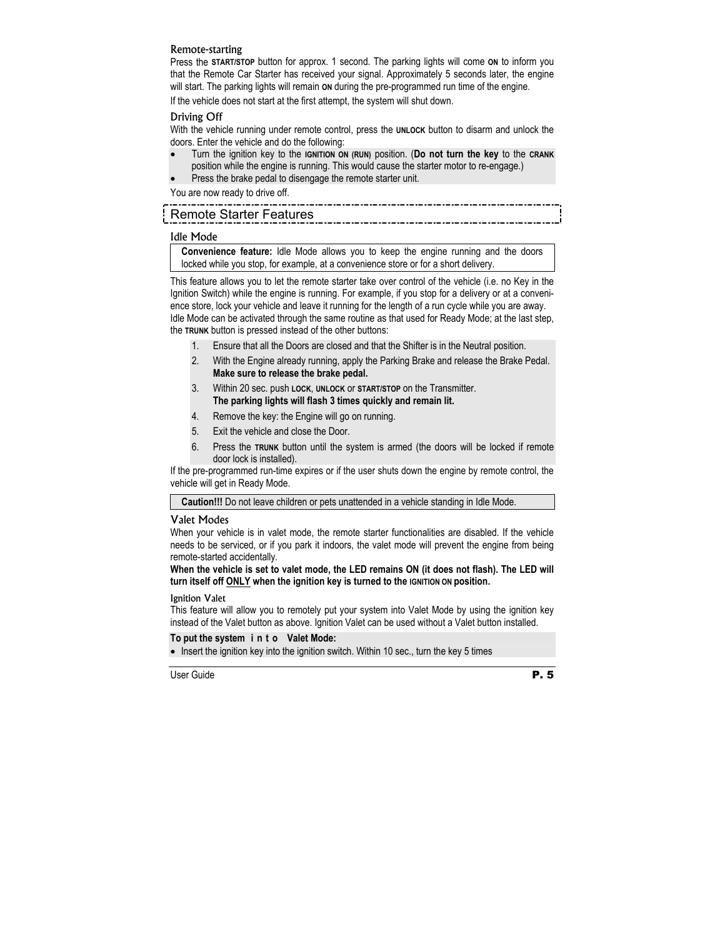### Remote-starting

Press the **START/STOP** button for approx. 1 second. The parking lights will come **ON** to inform you that the Remote Car Starter has received your signal. Approximately 5 seconds later, the engine will start. The parking lights will remain **ON** during the pre-programmed run time of the engine.

If the vehicle does not start at the first attempt, the system will shut down.

### Driving Off

With the vehicle running under remote control, press the **UNLOCK** button to disarm and unlock the doors. Enter the vehicle and do the following:

- Turn the ignition key to the **IGNITION ON (RUN)** position. (**Do not turn the key** to the **CRANK** position while the engine is running. This would cause the starter motor to re-engage.)
- Press the brake pedal to disengage the remote starter unit.

You are now ready to drive off.

# Remote Starter Features

### Idle Mode

**Convenience feature:** Idle Mode allows you to keep the engine running and the doors locked while you stop, for example, at a convenience store or for a short delivery.

This feature allows you to let the remote starter take over control of the vehicle (i.e. no Key in the Ignition Switch) while the engine is running. For example, if you stop for a delivery or at a convenience store, lock your vehicle and leave it running for the length of a run cycle while you are away. Idle Mode can be activated through the same routine as that used for Ready Mode; at the last step, the **TRUNK** button is pressed instead of the other buttons:

- 1. Ensure that all the Doors are closed and that the Shifter is in the Neutral position.
- 2. With the Engine already running, apply the Parking Brake and release the Brake Pedal. **Make sure to release the brake pedal.**
- 3. Within 20 sec. push **LOCK**, **UNLOCK** or **START/STOP** on the Transmitter. **The parking lights will flash 3 times quickly and remain lit.**
- 4. Remove the key: the Engine will go on running.
- 5. Exit the vehicle and close the Door.
- 6. Press the **TRUNK** button until the system is armed (the doors will be locked if remote door lock is installed).

If the pre-programmed run-time expires or if the user shuts down the engine by remote control, the vehicle will get in Ready Mode.

**Caution!!!** Do not leave children or pets unattended in a vehicle standing in Idle Mode.

### Valet Modes

When your vehicle is in valet mode, the remote starter functionalities are disabled. If the vehicle needs to be serviced, or if you park it indoors, the valet mode will prevent the engine from being remote-started accidentally.

### **When the vehicle is set to valet mode, the LED remains ON (it does not flash). The LED will turn itself off ONLY when the ignition key is turned to the IGNITION ON position.**

### Ignition Valet

This feature will allow you to remotely put your system into Valet Mode by using the ignition key instead of the Valet button as above. Ignition Valet can be used without a Valet button installed.

### **To put the system i n t o Valet Mode:**

• Insert the ignition key into the ignition switch. Within 10 sec., turn the key 5 times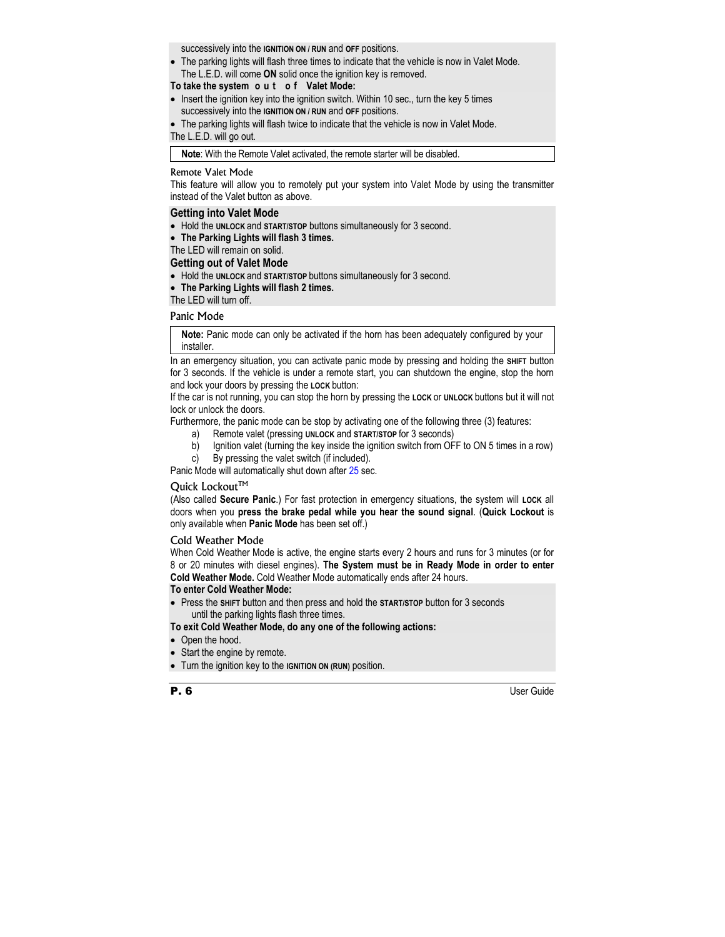successively into the **IGNITION ON / RUN** and **OFF** positions.

• The parking lights will flash three times to indicate that the vehicle is now in Valet Mode. The L.E.D. will come **ON** solid once the ignition key is removed.

### **To take the system o u t o f Valet Mode:**

- Insert the ignition key into the ignition switch. Within 10 sec., turn the key 5 times successively into the **IGNITION ON / RUN** and **OFF** positions.
- The parking lights will flash twice to indicate that the vehicle is now in Valet Mode.

The L.E.D. will go out.

**Note**: With the Remote Valet activated, the remote starter will be disabled.

### Remote Valet Mode

This feature will allow you to remotely put your system into Valet Mode by using the transmitter instead of the Valet button as above.

### **Getting into Valet Mode**

- Hold the **UNLOCK** and **START/STOP** buttons simultaneously for 3 second.
- **The Parking Lights will flash 3 times.**

The LED will remain on solid.

### **Getting out of Valet Mode**

- Hold the **UNLOCK** and **START/STOP** buttons simultaneously for 3 second.
- **The Parking Lights will flash 2 times.**

The LED will turn off.

### Panic Mode

**Note:** Panic mode can only be activated if the horn has been adequately configured by your installer.

In an emergency situation, you can activate panic mode by pressing and holding the **SHIFT** button for 3 seconds. If the vehicle is under a remote start, you can shutdown the engine, stop the horn and lock your doors by pressing the **LOCK** button:

If the car is not running, you can stop the horn by pressing the **LOCK** or **UNLOCK** buttons but it will not lock or unlock the doors.

Furthermore, the panic mode can be stop by activating one of the following three (3) features:

- a) Remote valet (pressing **UNLOCK** and **START/STOP** for 3 seconds)
- b) Ignition valet (turning the key inside the ignition switch from OFF to ON 5 times in a row)
- c) By pressing the valet switch (if included).

Panic Mode will automatically shut down after 25 sec.

### Ouick Lockout<sup>™</sup>

(Also called **Secure Panic**.) For fast protection in emergency situations, the system will **LOCK** all doors when you **press the brake pedal while you hear the sound signal**. (**Quick Lockout** is only available when **Panic Mode** has been set off.)

### Cold Weather Mode

When Cold Weather Mode is active, the engine starts every 2 hours and runs for 3 minutes (or for 8 or 20 minutes with diesel engines). **The System must be in Ready Mode in order to enter Cold Weather Mode.** Cold Weather Mode automatically ends after 24 hours.

### **To enter Cold Weather Mode:**

• Press the **SHIFT** button and then press and hold the **START/STOP** button for 3 seconds until the parking lights flash three times.

### **To exit Cold Weather Mode, do any one of the following actions:**

- Open the hood.
- Start the engine by remote.
- Turn the ignition key to the **IGNITION ON (RUN)** position.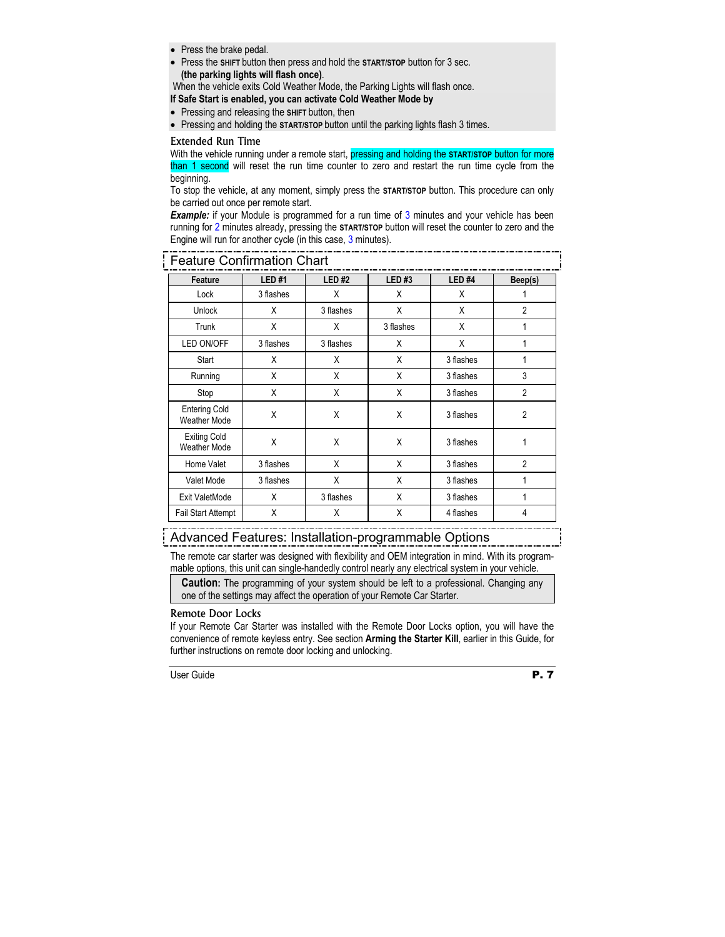- Press the brake pedal.
- Press the **SHIFT** button then press and hold the **START/STOP** button for 3 sec. **(the parking lights will flash once)**.
- When the vehicle exits Cold Weather Mode, the Parking Lights will flash once.

**If Safe Start is enabled, you can activate Cold Weather Mode by** 

- Pressing and releasing the **SHIFT** button, then
- Pressing and holding the **START/STOP** button until the parking lights flash 3 times.

### Extended Run Time

With the vehicle running under a remote start, pressing and holding the **START/STOP** button for more than 1 second will reset the run time counter to zero and restart the run time cycle from the beginning.

To stop the vehicle, at any moment, simply press the **START/STOP** button. This procedure can only be carried out once per remote start.

*Example:* if your Module is programmed for a run time of 3 minutes and your vehicle has been running for 2 minutes already, pressing the **START/STOP** button will reset the counter to zero and the Engine will run for another cycle (in this case, 3 minutes).

| <b>Feature Confirmation Chart</b>           |              |              |              |              |                |  |
|---------------------------------------------|--------------|--------------|--------------|--------------|----------------|--|
| Feature                                     | <b>LED#1</b> | <b>LED#2</b> | <b>LED#3</b> | <b>LED#4</b> | Beep(s)        |  |
| Lock                                        | 3 flashes    | X            | X            | X            | 1              |  |
| Unlock                                      | X            | 3 flashes    | X            | X            | $\overline{2}$ |  |
| Trunk                                       | X            | X            | 3 flashes    | X            | 1              |  |
| LED ON/OFF                                  | 3 flashes    | 3 flashes    | X            | X            | 1              |  |
| Start                                       | X            | X            | X            | 3 flashes    | 1              |  |
| Running                                     | X            | X            | X            | 3 flashes    | 3              |  |
| Stop                                        | X            | X            | X            | 3 flashes    | $\overline{2}$ |  |
| <b>Entering Cold</b><br><b>Weather Mode</b> | X            | X            | X            | 3 flashes    | $\overline{2}$ |  |
| <b>Exiting Cold</b><br><b>Weather Mode</b>  | X            | X            | X            | 3 flashes    | 1              |  |
| Home Valet                                  | 3 flashes    | X            | X            | 3 flashes    | $\overline{2}$ |  |
| Valet Mode                                  | 3 flashes    | X            | X            | 3 flashes    | 1              |  |
| Exit ValetMode                              | X            | 3 flashes    | X            | 3 flashes    | 1              |  |
| <b>Fail Start Attempt</b>                   | X            | X            | X            | 4 flashes    | 4              |  |

Advanced Features: Installation-programmable Options

The remote car starter was designed with flexibility and OEM integration in mind. With its programmable options, this unit can single-handedly control nearly any electrical system in your vehicle.

**Caution:** The programming of your system should be left to a professional. Changing any one of the settings may affect the operation of your Remote Car Starter.

### Remote Door Locks

If your Remote Car Starter was installed with the Remote Door Locks option, you will have the convenience of remote keyless entry. See section **Arming the Starter Kill**, earlier in this Guide, for further instructions on remote door locking and unlocking.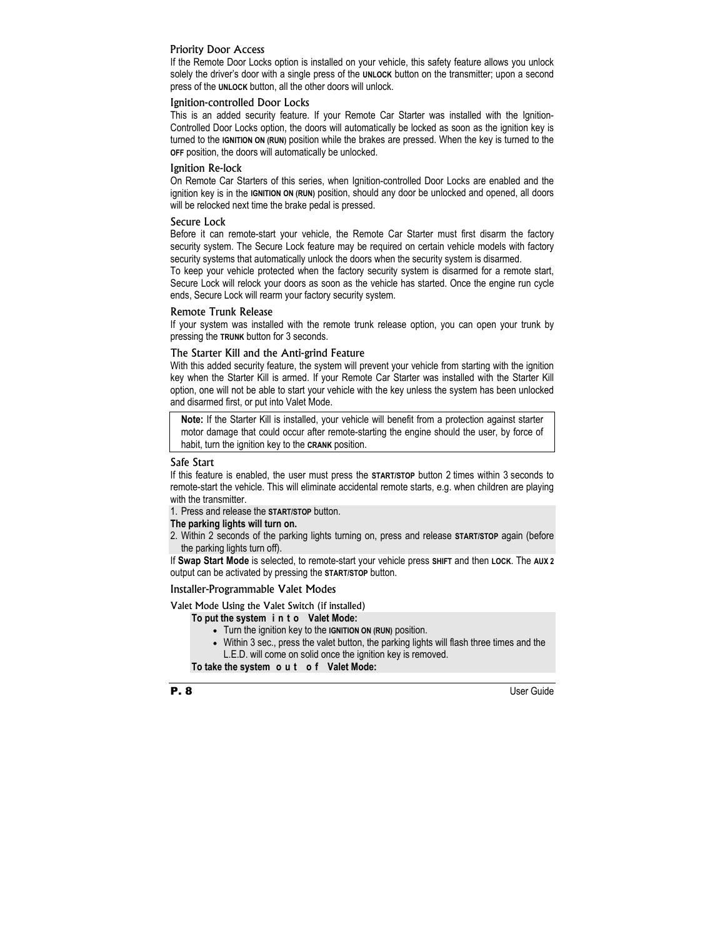### Priority Door Access

If the Remote Door Locks option is installed on your vehicle, this safety feature allows you unlock solely the driver's door with a single press of the **UNLOCK** button on the transmitter; upon a second press of the **UNLOCK** button, all the other doors will unlock.

### Ignition-controlled Door Locks

This is an added security feature. If your Remote Car Starter was installed with the Ignition-Controlled Door Locks option, the doors will automatically be locked as soon as the ignition key is turned to the **IGNITION ON (RUN)** position while the brakes are pressed. When the key is turned to the **OFF** position, the doors will automatically be unlocked.

### Ignition Re-lock

On Remote Car Starters of this series, when Ignition-controlled Door Locks are enabled and the ignition key is in the **IGNITION ON (RUN)** position, should any door be unlocked and opened, all doors will be relocked next time the brake pedal is pressed.

### Secure Lock

Before it can remote-start your vehicle, the Remote Car Starter must first disarm the factory security system. The Secure Lock feature may be required on certain vehicle models with factory security systems that automatically unlock the doors when the security system is disarmed.

To keep your vehicle protected when the factory security system is disarmed for a remote start, Secure Lock will relock your doors as soon as the vehicle has started. Once the engine run cycle ends, Secure Lock will rearm your factory security system.

### Remote Trunk Release

If your system was installed with the remote trunk release option, you can open your trunk by pressing the **TRUNK** button for 3 seconds.

### The Starter Kill and the Anti-grind Feature

With this added security feature, the system will prevent your vehicle from starting with the ignition key when the Starter Kill is armed. If your Remote Car Starter was installed with the Starter Kill option, one will not be able to start your vehicle with the key unless the system has been unlocked and disarmed first, or put into Valet Mode.

**Note:** If the Starter Kill is installed, your vehicle will benefit from a protection against starter motor damage that could occur after remote-starting the engine should the user, by force of habit, turn the ignition key to the **CRANK** position.

### Safe Start

If this feature is enabled, the user must press the **START/STOP** button 2 times within 3 seconds to remote-start the vehicle. This will eliminate accidental remote starts, e.g. when children are playing with the transmitter.

1. Press and release the **START/STOP** button.

### **The parking lights will turn on.**

2. Within 2 seconds of the parking lights turning on, press and release **START/STOP** again (before the parking lights turn off).

If **Swap Start Mode** is selected, to remote-start your vehicle press **SHIFT** and then **LOCK**. The **AUX 2** output can be activated by pressing the **START/STOP** button.

### Installer-Programmable Valet Modes

Valet Mode Using the Valet Switch (if installed)

### **To put the system i n t o Valet Mode:**

- Turn the ignition key to the **IGNITION ON (RUN)** position.
- Within 3 sec., press the valet button, the parking lights will flash three times and the L.E.D. will come on solid once the ignition key is removed.

**To take the system o u t o f Valet Mode:**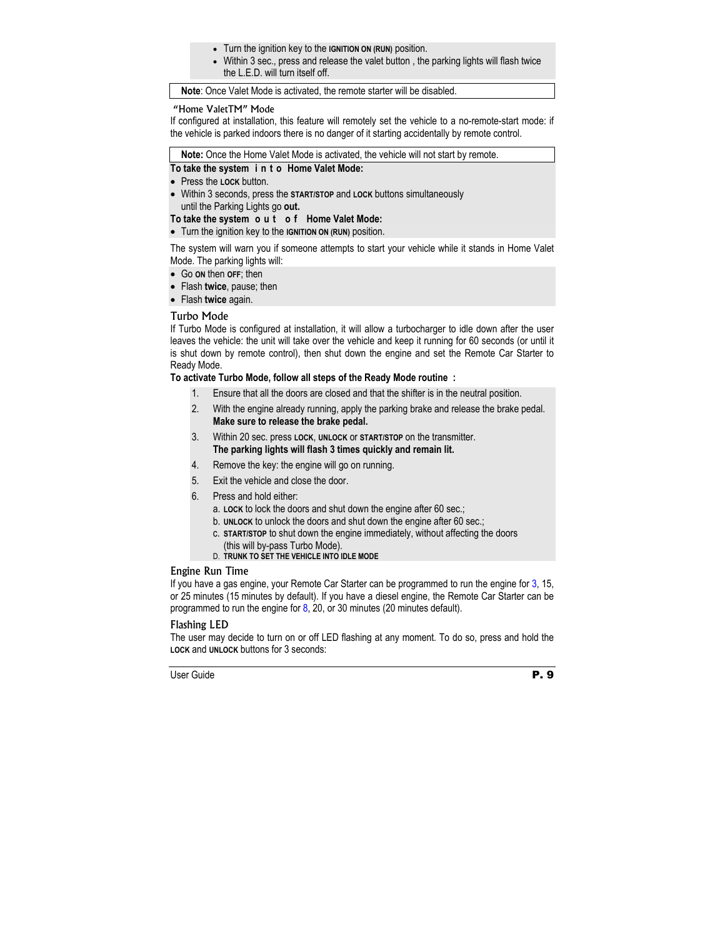- Turn the ignition key to the **IGNITION ON (RUN)** position.
- Within 3 sec., press and release the valet button , the parking lights will flash twice the L.E.D. will turn itself off.

**Note**: Once Valet Mode is activated, the remote starter will be disabled.

### "Home ValetTM" Mode

If configured at installation, this feature will remotely set the vehicle to a no-remote-start mode: if the vehicle is parked indoors there is no danger of it starting accidentally by remote control.

**Note:** Once the Home Valet Mode is activated, the vehicle will not start by remote.

### **To take the system i n t o Home Valet Mode:**

- Press the **LOCK** button.
- Within 3 seconds, press the **START/STOP** and **LOCK** buttons simultaneously until the Parking Lights go **out.**

### **To take the system o u t o f Home Valet Mode:**

• Turn the ignition key to the **IGNITION ON (RUN)** position.

The system will warn you if someone attempts to start your vehicle while it stands in Home Valet Mode. The parking lights will:

- Go **ON** then **OFF**; then
- Flash **twice**, pause; then
- Flash **twice** again.

### Turbo Mode

If Turbo Mode is configured at installation, it will allow a turbocharger to idle down after the user leaves the vehicle: the unit will take over the vehicle and keep it running for 60 seconds (or until it is shut down by remote control), then shut down the engine and set the Remote Car Starter to Ready Mode.

### **To activate Turbo Mode, follow all steps of the Ready Mode routine :**

- 1. Ensure that all the doors are closed and that the shifter is in the neutral position.
- 2. With the engine already running, apply the parking brake and release the brake pedal. **Make sure to release the brake pedal.**
- 3. Within 20 sec. press **LOCK**, **UNLOCK** or **START/STOP** on the transmitter. **The parking lights will flash 3 times quickly and remain lit.**
- 4. Remove the key: the engine will go on running.
- 5. Exit the vehicle and close the door.
- 6. Press and hold either:
	- a. **LOCK** to lock the doors and shut down the engine after 60 sec.;
	- b. **UNLOCK** to unlock the doors and shut down the engine after 60 sec.;
	- c. **START/STOP** to shut down the engine immediately, without affecting the doors (this will by-pass Turbo Mode).
	- D. **TRUNK TO SET THE VEHICLE INTO IDLE MODE**

### Engine Run Time

If you have a gas engine, your Remote Car Starter can be programmed to run the engine for 3, 15, or 25 minutes (15 minutes by default). If you have a diesel engine, the Remote Car Starter can be programmed to run the engine for  $8$ , 20, or 30 minutes (20 minutes default).

### Flashing LED

The user may decide to turn on or off LED flashing at any moment. To do so, press and hold the **LOCK** and **UNLOCK** buttons for 3 seconds: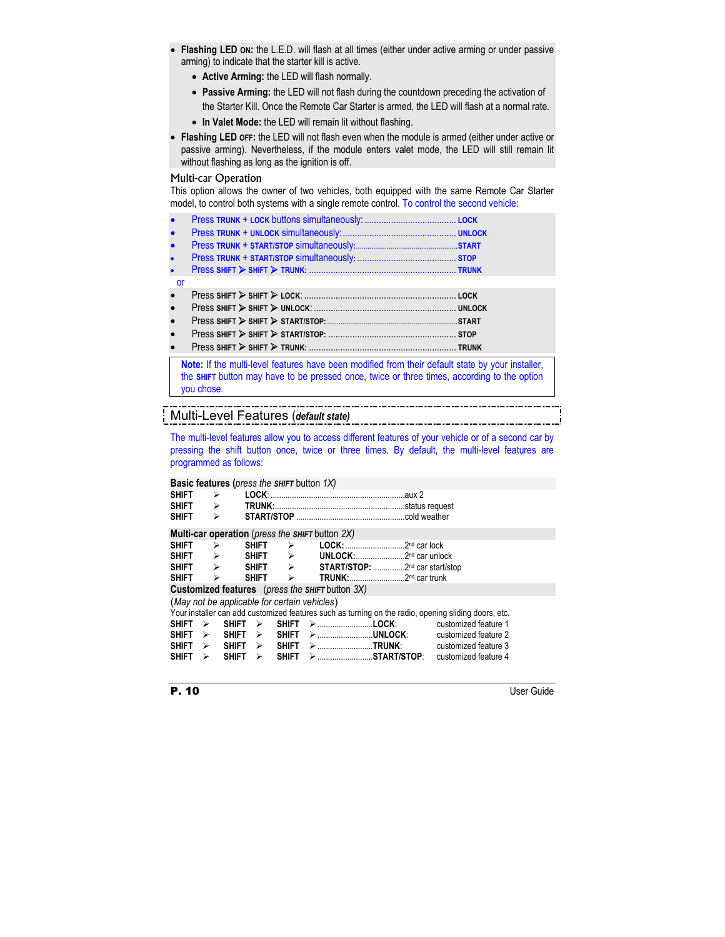- **Flashing LED ON:** the L.E.D. will flash at all times (either under active arming or under passive arming) to indicate that the starter kill is active.
	- **Active Arming:** the LED will flash normally.
	- **Passive Arming:** the LED will not flash during the countdown preceding the activation of the Starter Kill. Once the Remote Car Starter is armed, the LED will flash at a normal rate.
	- **In Valet Mode:** the LED will remain lit without flashing.
- **Flashing LED OFF:** the LED will not flash even when the module is armed (either under active or passive arming). Nevertheless, if the module enters valet mode, the LED will still remain lit without flashing as long as the ignition is off.

### Multi-car Operation

This option allows the owner of two vehicles, both equipped with the same Remote Car Starter model, to control both systems with a single remote control. To control the second vehicle:

or

**Note:** If the multi-level features have been modified from their default state by your installer, the **SHIFT** button may have to be pressed once, twice or three times, according to the option you chose.

# Multi-Level Features (*default state)*

The multi-level features allow you to access different features of your vehicle or of a second car by pressing the shift button once, twice or three times. By default, the multi-level features are programmed as follows:

### **Basic features (***press the SHIFT* button *1X)*

| <b>SHIFT</b> | ↘                      |                                              |                       |                                                                                                      |                      |
|--------------|------------------------|----------------------------------------------|-----------------------|------------------------------------------------------------------------------------------------------|----------------------|
| <b>SHIFT</b> | ↘                      |                                              |                       |                                                                                                      |                      |
| <b>SHIFT</b> | ⋗                      |                                              |                       |                                                                                                      |                      |
|              |                        |                                              |                       | <b>Multi-car operation</b> ( <i>press the <b>SHIFT</b></i> button 2X)                                |                      |
| <b>SHIFT</b> | ⋗                      | <b>SHIFT</b>                                 | ⋗                     |                                                                                                      |                      |
| <b>SHIFT</b> | ⋗                      | <b>SHIFT</b>                                 | ⋗                     |                                                                                                      |                      |
| <b>SHIFT</b> | $\rightarrow$          | <b>SHIFT</b>                                 | $\blacktriangleright$ | START/STOP: 2 <sup>nd</sup> car start/stop                                                           |                      |
| <b>SHIFT</b> | ⋗                      | <b>SHIFT</b>                                 | ⋗                     |                                                                                                      |                      |
|              |                        |                                              |                       | <b>Customized features</b> (press the <b>SHIFT</b> button 3X)                                        |                      |
|              |                        | (May not be applicable for certain vehicles) |                       |                                                                                                      |                      |
|              |                        |                                              |                       | Your installer can add customized features such as turning on the radio, opening sliding doors, etc. |                      |
| SHIFT        | SHIFT<br>$\rightarrow$ | $\triangleright$                             |                       |                                                                                                      | customized feature 1 |
| <b>SHIFT</b> | $\triangleright$       | SHIFT $\triangleright$                       | <b>SHIFT</b>          | <b>EXAMPLE 2014</b>                                                                                  | customized feature 2 |
| SHIFT        | $\rightarrow$          | SHIFT $\triangleright$                       |                       | <b>SHIFT &gt; TRUNK:</b>                                                                             | customized feature 3 |
| SHIFT        | <b>SHIFT</b><br>⋗      | ⋗                                            | <b>SHIFT</b>          |                                                                                                      | customized feature 4 |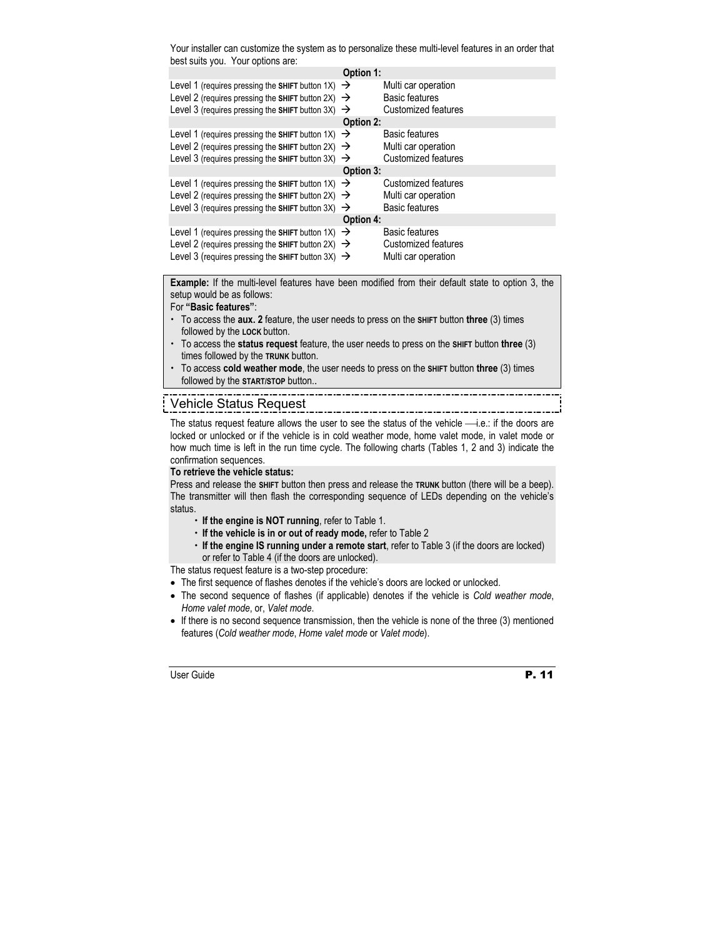Your installer can customize the system as to personalize these multi-level features in an order that best suits you. Your options are:

|                                                                  | Option 1:        |                            |  |  |
|------------------------------------------------------------------|------------------|----------------------------|--|--|
| Level 1 (requires pressing the SHIFT button 1X) $\rightarrow$    |                  | Multi car operation        |  |  |
| Level 2 (requires pressing the SHIFT button 2X) $\rightarrow$    |                  | <b>Basic features</b>      |  |  |
| Level 3 (requires pressing the SHIFT button 3X) $\rightarrow$    |                  | <b>Customized features</b> |  |  |
|                                                                  | <b>Option 2:</b> |                            |  |  |
| Level 1 (requires pressing the SHIFT button $1X$ ) $\rightarrow$ |                  | <b>Basic features</b>      |  |  |
| Level 2 (requires pressing the SHIFT button 2X) $\rightarrow$    |                  | Multi car operation        |  |  |
| Level 3 (requires pressing the SHIFT button $3X$ ) $\rightarrow$ |                  | <b>Customized features</b> |  |  |
|                                                                  | Option 3:        |                            |  |  |
| Level 1 (requires pressing the SHIFT button 1X) $\rightarrow$    |                  | Customized features        |  |  |
| Level 2 (requires pressing the SHIFT button 2X) $\rightarrow$    |                  | Multi car operation        |  |  |
| Level 3 (requires pressing the SHIFT button 3X) $\rightarrow$    |                  | <b>Basic features</b>      |  |  |
| <b>Option 4:</b>                                                 |                  |                            |  |  |
| Level 1 (requires pressing the SHIFT button 1X) $\rightarrow$    |                  | <b>Basic features</b>      |  |  |
| Level 2 (requires pressing the SHIFT button 2X) $\rightarrow$    |                  | Customized features        |  |  |
| Level 3 (requires pressing the SHIFT button 3X) $\rightarrow$    |                  | Multi car operation        |  |  |

**Example:** If the multi-level features have been modified from their default state to option 3, the setup would be as follows:

For **"Basic features"**:

- x To access the **aux. 2** feature, the user needs to press on the **SHIFT** button **three** (3) times followed by the **LOCK** button.
- x To access the **status request** feature, the user needs to press on the **SHIFT** button **three** (3) times followed by the **TRUNK** button.
- x To access **cold weather mode**, the user needs to press on the **SHIFT** button **three** (3) times followed by the **START/STOP** button..

### Vehicle Status Request

The status request feature allows the user to see the status of the vehicle  $\longrightarrow$ i.e.: if the doors are locked or unlocked or if the vehicle is in cold weather mode, home valet mode, in valet mode or how much time is left in the run time cycle. The following charts (Tables 1, 2 and 3) indicate the confirmation sequences.

. . . . . . . . . . . . . . . .

### **To retrieve the vehicle status:**

Press and release the **SHIFT** button then press and release the **TRUNK** button (there will be a beep). The transmitter will then flash the corresponding sequence of LEDs depending on the vehicle's status.

- x **If the engine is NOT running**, refer to Table 1.
- **f the vehicle is in or out of ready mode, refer to Table 2**
- x **If the engine IS running under a remote start**, refer to Table 3 (if the doors are locked) or refer to Table 4 (if the doors are unlocked).

The status request feature is a two-step procedure:

- The first sequence of flashes denotes if the vehicle's doors are locked or unlocked.
- The second sequence of flashes (if applicable) denotes if the vehicle is *Cold weather mode*, *Home valet mode*, or, *Valet mode*.
- If there is no second sequence transmission, then the vehicle is none of the three (3) mentioned features (*Cold weather mode*, *Home valet mode* or *Valet mode*).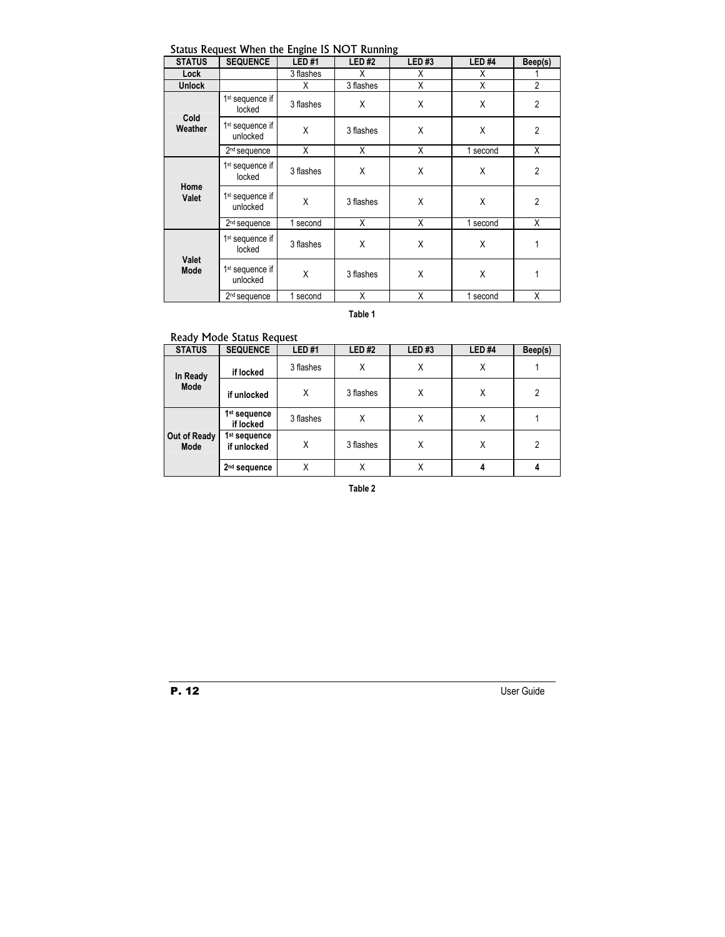| <b>STATUS</b> | <b>SEQUENCE</b>                         | <b>LED#1</b> | <b>LED#2</b> | LED#3 | <b>LED#4</b> | Beep(s)        |
|---------------|-----------------------------------------|--------------|--------------|-------|--------------|----------------|
| Lock          |                                         | 3 flashes    | Χ            | Χ     | Χ            |                |
| <b>Unlock</b> |                                         | х            | 3 flashes    | Χ     | Χ            | $\overline{2}$ |
| Cold          | 1 <sup>st</sup> sequence if<br>locked   | 3 flashes    | X            | X     | X            | $\overline{2}$ |
| Weather       | 1 <sup>st</sup> sequence if<br>unlocked | X            | 3 flashes    | X     | X            | $\overline{2}$ |
|               | 2 <sup>nd</sup> sequence                | X            | Χ            | X     | 1 second     | X              |
|               | 1 <sup>st</sup> sequence if<br>locked   | 3 flashes    | X            | Χ     | X            | $\overline{2}$ |
| Home<br>Valet | 1 <sup>st</sup> sequence if<br>unlocked | X            | 3 flashes    | Χ     | X            | $\overline{2}$ |
|               | 2 <sup>nd</sup> sequence                | 1 second     | Χ            | Χ     | 1 second     | X              |
|               | 1 <sup>st</sup> sequence if<br>locked   | 3 flashes    | Χ            | X     | X            | 1              |
| Valet<br>Mode | 1 <sup>st</sup> sequence if<br>unlocked | X            | 3 flashes    | Χ     | X            | 1              |
|               | 2 <sup>nd</sup> sequence                | 1 second     | Χ            | Χ     | 1 second     | Χ              |

### Status Request When the Engine IS NOT Running

**Table 1** 

### Ready Mode Status Request

| <b>STATUS</b>        | <b>SEQUENCE</b>                         | <b>LED#1</b> | <b>LED#2</b> | <b>LED#3</b> | LED#4 | Beep(s)        |
|----------------------|-----------------------------------------|--------------|--------------|--------------|-------|----------------|
| In Ready             | if locked                               | 3 flashes    | Χ            | Χ            | Χ     |                |
| Mode                 | if unlocked                             | Χ            | 3 flashes    | Χ            | Χ     | $\overline{2}$ |
|                      | 1 <sup>st</sup> sequence<br>if locked   | 3 flashes    | X            | Χ            | Χ     |                |
| Out of Ready<br>Mode | 1 <sup>st</sup> sequence<br>if unlocked | Χ            | 3 flashes    | Χ            | Χ     | $\overline{2}$ |
|                      | $2nd$ sequence                          | Χ            | Χ            | Χ            |       |                |

**Table 2**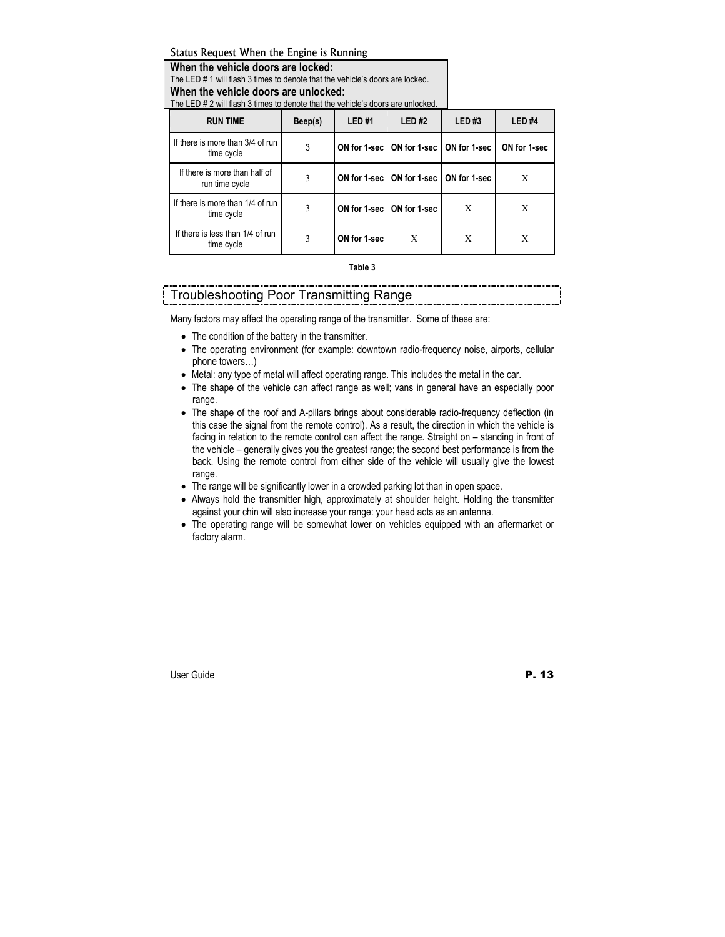### Status Request When the Engine is Running

**When the vehicle doors are locked:**  The I FD # 1 will flash 3 times to denote that the vehicle's doors are locked.

### **When the vehicle doors are unlocked:**

The LED # 2 will flash 3 times to denote that the vehicle's doors are unlocked.

| <b>RUN TIME</b>                                 | Beep(s) | LED#1        | <b>LED#2</b>                               | <b>LED#3</b> | LED <sub>#4</sub> |
|-------------------------------------------------|---------|--------------|--------------------------------------------|--------------|-------------------|
| If there is more than 3/4 of run<br>time cycle  | 3       |              | ON for 1-sec   ON for 1-sec   ON for 1-sec |              | ON for 1-sec      |
| If there is more than half of<br>run time cycle | 3       |              | ON for 1-sec   ON for 1-sec   ON for 1-sec |              | X                 |
| If there is more than 1/4 of run<br>time cycle  | 3       |              | ON for 1 sec   ON for 1 sec                | X            | X                 |
| If there is less than 1/4 of run<br>time cycle  | 3       | ON for 1-sec | X                                          | X            | Х                 |

**Table 3** 

# Troubleshooting Poor Transmitting Range

Many factors may affect the operating range of the transmitter. Some of these are:

- The condition of the battery in the transmitter.
- The operating environment (for example: downtown radio-frequency noise, airports, cellular phone towers…)
- Metal: any type of metal will affect operating range. This includes the metal in the car.
- The shape of the vehicle can affect range as well; vans in general have an especially poor range.
- The shape of the roof and A-pillars brings about considerable radio-frequency deflection (in this case the signal from the remote control). As a result, the direction in which the vehicle is facing in relation to the remote control can affect the range. Straight on – standing in front of the vehicle – generally gives you the greatest range; the second best performance is from the back. Using the remote control from either side of the vehicle will usually give the lowest range.
- The range will be significantly lower in a crowded parking lot than in open space.
- Always hold the transmitter high, approximately at shoulder height. Holding the transmitter against your chin will also increase your range: your head acts as an antenna.
- The operating range will be somewhat lower on vehicles equipped with an aftermarket or factory alarm.